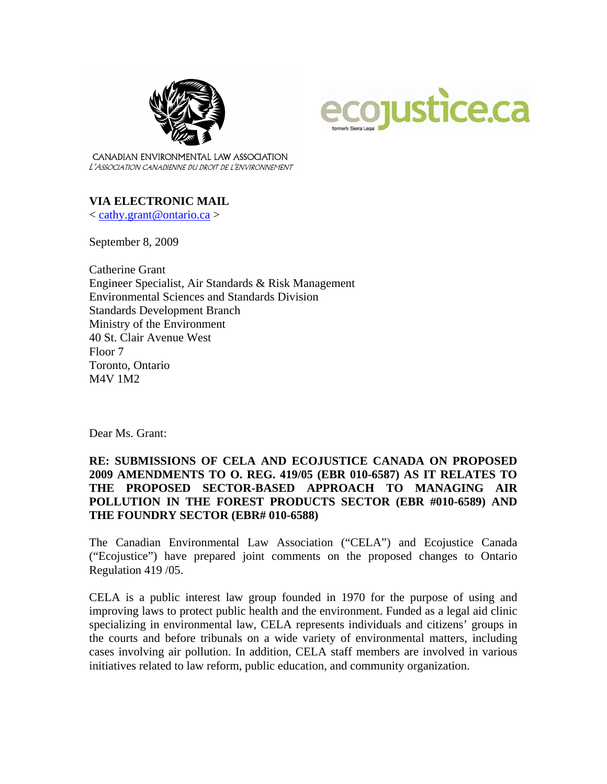



CANADIAN ENVIRONMENTAL LAW ASSOCIATION L'ASSOCIATION CANADIENNE DU DROIT DE L'ENVIRONNEMENT

### **VIA ELECTRONIC MAIL**

< [cathy.grant@ontario.ca](mailto:cathy.grant@ontario.ca) >

September 8, 2009

Catherine Grant Engineer Specialist, Air Standards & Risk Management Environmental Sciences and Standards Division Standards Development Branch Ministry of the Environment 40 St. Clair Avenue West Floor 7 Toronto, Ontario M4V 1M2

Dear Ms. Grant:

## **RE: SUBMISSIONS OF CELA AND ECOJUSTICE CANADA ON PROPOSED 2009 AMENDMENTS TO O. REG. 419/05 (EBR 010-6587) AS IT RELATES TO THE PROPOSED SECTOR-BASED APPROACH TO MANAGING AIR POLLUTION IN THE FOREST PRODUCTS SECTOR (EBR #010-6589) AND THE FOUNDRY SECTOR (EBR# 010-6588)**

The Canadian Environmental Law Association ("CELA") and Ecojustice Canada ("Ecojustice") have prepared joint comments on the proposed changes to Ontario Regulation 419 /05.

CELA is a public interest law group founded in 1970 for the purpose of using and improving laws to protect public health and the environment. Funded as a legal aid clinic specializing in environmental law, CELA represents individuals and citizens' groups in the courts and before tribunals on a wide variety of environmental matters, including cases involving air pollution. In addition, CELA staff members are involved in various initiatives related to law reform, public education, and community organization.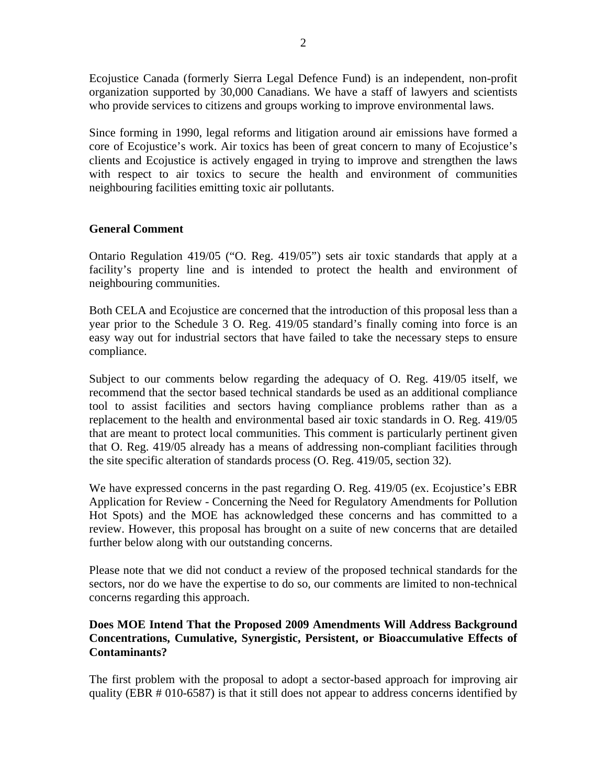Ecojustice Canada (formerly Sierra Legal Defence Fund) is an independent, non-profit organization supported by 30,000 Canadians. We have a staff of lawyers and scientists who provide services to citizens and groups working to improve environmental laws.

Since forming in 1990, legal reforms and litigation around air emissions have formed a core of Ecojustice's work. Air toxics has been of great concern to many of Ecojustice's clients and Ecojustice is actively engaged in trying to improve and strengthen the laws with respect to air toxics to secure the health and environment of communities neighbouring facilities emitting toxic air pollutants.

# **General Comment**

Ontario Regulation 419/05 ("O. Reg. 419/05") sets air toxic standards that apply at a facility's property line and is intended to protect the health and environment of neighbouring communities.

Both CELA and Ecojustice are concerned that the introduction of this proposal less than a year prior to the Schedule 3 O. Reg. 419/05 standard's finally coming into force is an easy way out for industrial sectors that have failed to take the necessary steps to ensure compliance.

Subject to our comments below regarding the adequacy of O. Reg. 419/05 itself, we recommend that the sector based technical standards be used as an additional compliance tool to assist facilities and sectors having compliance problems rather than as a replacement to the health and environmental based air toxic standards in O. Reg. 419/05 that are meant to protect local communities. This comment is particularly pertinent given that O. Reg. 419/05 already has a means of addressing non-compliant facilities through the site specific alteration of standards process (O. Reg. 419/05, section 32).

We have expressed concerns in the past regarding O. Reg. 419/05 (ex. Ecojustice's EBR Application for Review - Concerning the Need for Regulatory Amendments for Pollution Hot Spots) and the MOE has acknowledged these concerns and has committed to a review. However, this proposal has brought on a suite of new concerns that are detailed further below along with our outstanding concerns.

Please note that we did not conduct a review of the proposed technical standards for the sectors, nor do we have the expertise to do so, our comments are limited to non-technical concerns regarding this approach.

## **Does MOE Intend That the Proposed 2009 Amendments Will Address Background Concentrations, Cumulative, Synergistic, Persistent, or Bioaccumulative Effects of Contaminants?**

The first problem with the proposal to adopt a sector-based approach for improving air quality (EBR # 010-6587) is that it still does not appear to address concerns identified by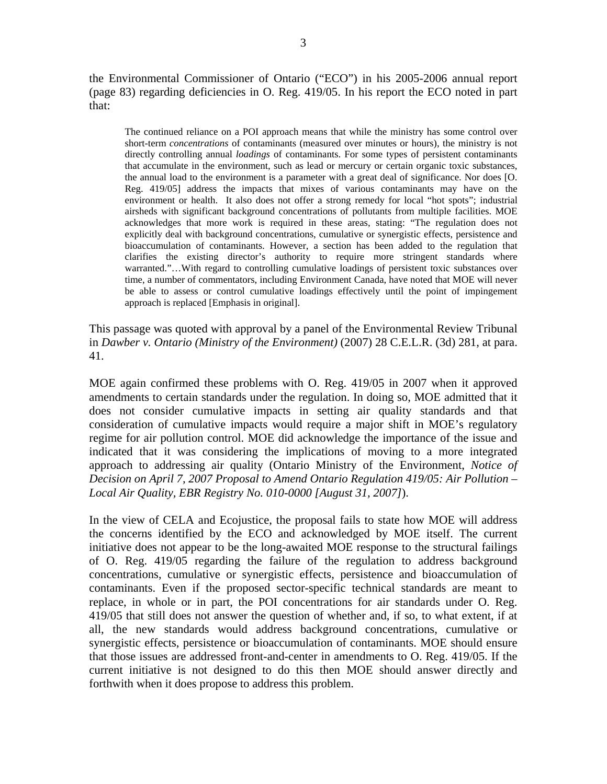the Environmental Commissioner of Ontario ("ECO") in his 2005-2006 annual report (page 83) regarding deficiencies in O. Reg. 419/05. In his report the ECO noted in part that:

The continued reliance on a POI approach means that while the ministry has some control over short-term *concentrations* of contaminants (measured over minutes or hours), the ministry is not directly controlling annual *loadings* of contaminants. For some types of persistent contaminants that accumulate in the environment, such as lead or mercury or certain organic toxic substances, the annual load to the environment is a parameter with a great deal of significance. Nor does [O. Reg. 419/05] address the impacts that mixes of various contaminants may have on the environment or health. It also does not offer a strong remedy for local "hot spots"; industrial airsheds with significant background concentrations of pollutants from multiple facilities. MOE acknowledges that more work is required in these areas, stating: "The regulation does not explicitly deal with background concentrations, cumulative or synergistic effects, persistence and bioaccumulation of contaminants. However, a section has been added to the regulation that clarifies the existing director's authority to require more stringent standards where warranted."…With regard to controlling cumulative loadings of persistent toxic substances over time, a number of commentators, including Environment Canada, have noted that MOE will never be able to assess or control cumulative loadings effectively until the point of impingement approach is replaced [Emphasis in original].

This passage was quoted with approval by a panel of the Environmental Review Tribunal in *Dawber v. Ontario (Ministry of the Environment)* (2007) 28 C.E.L.R. (3d) 281, at para. 41.

MOE again confirmed these problems with O. Reg. 419/05 in 2007 when it approved amendments to certain standards under the regulation. In doing so, MOE admitted that it does not consider cumulative impacts in setting air quality standards and that consideration of cumulative impacts would require a major shift in MOE's regulatory regime for air pollution control. MOE did acknowledge the importance of the issue and indicated that it was considering the implications of moving to a more integrated approach to addressing air quality (Ontario Ministry of the Environment, *Notice of Decision on April 7, 2007 Proposal to Amend Ontario Regulation 419/05: Air Pollution – Local Air Quality, EBR Registry No. 010-0000 [August 31, 2007]*).

In the view of CELA and Ecojustice, the proposal fails to state how MOE will address the concerns identified by the ECO and acknowledged by MOE itself. The current initiative does not appear to be the long-awaited MOE response to the structural failings of O. Reg. 419/05 regarding the failure of the regulation to address background concentrations, cumulative or synergistic effects, persistence and bioaccumulation of contaminants. Even if the proposed sector-specific technical standards are meant to replace, in whole or in part, the POI concentrations for air standards under O. Reg. 419/05 that still does not answer the question of whether and, if so, to what extent, if at all, the new standards would address background concentrations, cumulative or synergistic effects, persistence or bioaccumulation of contaminants. MOE should ensure that those issues are addressed front-and-center in amendments to O. Reg. 419/05. If the current initiative is not designed to do this then MOE should answer directly and forthwith when it does propose to address this problem.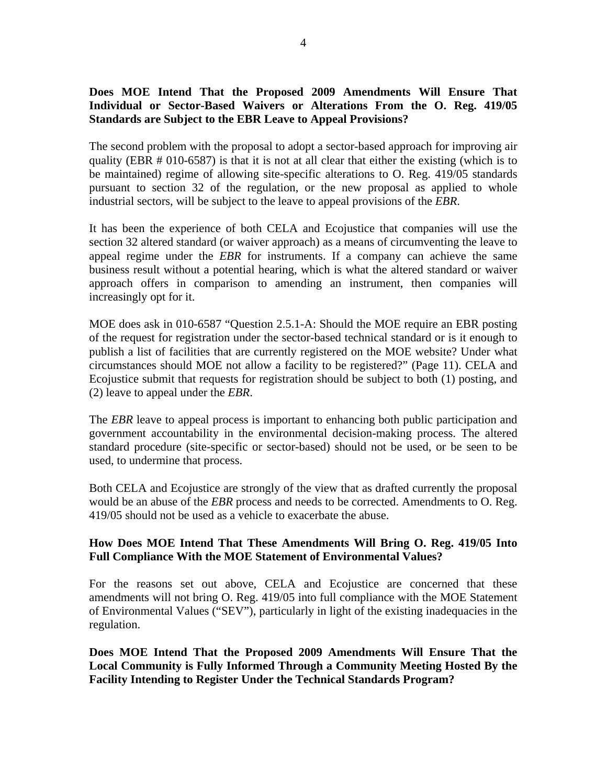## **Does MOE Intend That the Proposed 2009 Amendments Will Ensure That Individual or Sector-Based Waivers or Alterations From the O. Reg. 419/05 Standards are Subject to the EBR Leave to Appeal Provisions?**

The second problem with the proposal to adopt a sector-based approach for improving air quality (EBR # 010-6587) is that it is not at all clear that either the existing (which is to be maintained) regime of allowing site-specific alterations to O. Reg. 419/05 standards pursuant to section 32 of the regulation, or the new proposal as applied to whole industrial sectors, will be subject to the leave to appeal provisions of the *EBR*.

It has been the experience of both CELA and Ecojustice that companies will use the section 32 altered standard (or waiver approach) as a means of circumventing the leave to appeal regime under the *EBR* for instruments. If a company can achieve the same business result without a potential hearing, which is what the altered standard or waiver approach offers in comparison to amending an instrument, then companies will increasingly opt for it.

MOE does ask in 010-6587 "Question 2.5.1-A: Should the MOE require an EBR posting of the request for registration under the sector-based technical standard or is it enough to publish a list of facilities that are currently registered on the MOE website? Under what circumstances should MOE not allow a facility to be registered?" (Page 11). CELA and Ecojustice submit that requests for registration should be subject to both (1) posting, and (2) leave to appeal under the *EBR*.

The *EBR* leave to appeal process is important to enhancing both public participation and government accountability in the environmental decision-making process. The altered standard procedure (site-specific or sector-based) should not be used, or be seen to be used, to undermine that process.

Both CELA and Ecojustice are strongly of the view that as drafted currently the proposal would be an abuse of the *EBR* process and needs to be corrected. Amendments to O. Reg. 419/05 should not be used as a vehicle to exacerbate the abuse.

### **How Does MOE Intend That These Amendments Will Bring O. Reg. 419/05 Into Full Compliance With the MOE Statement of Environmental Values?**

For the reasons set out above, CELA and Ecojustice are concerned that these amendments will not bring O. Reg. 419/05 into full compliance with the MOE Statement of Environmental Values ("SEV"), particularly in light of the existing inadequacies in the regulation.

**Does MOE Intend That the Proposed 2009 Amendments Will Ensure That the Local Community is Fully Informed Through a Community Meeting Hosted By the Facility Intending to Register Under the Technical Standards Program?**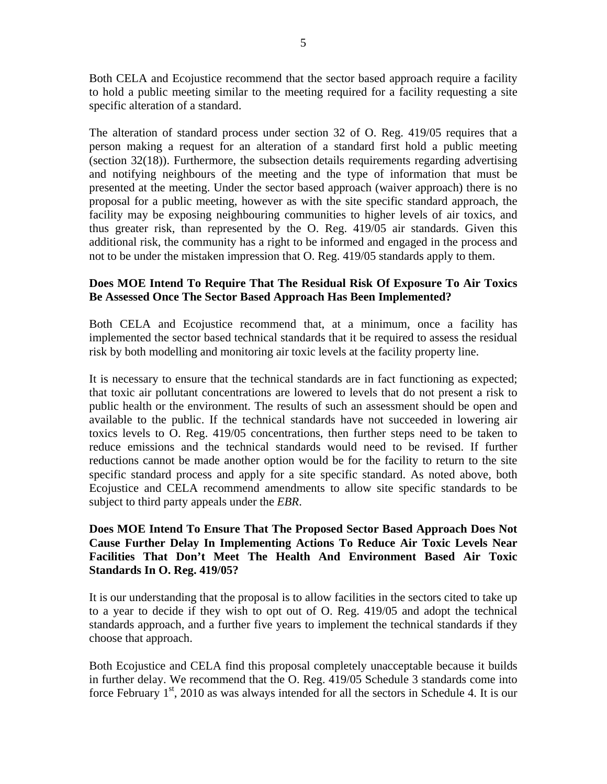Both CELA and Ecojustice recommend that the sector based approach require a facility to hold a public meeting similar to the meeting required for a facility requesting a site specific alteration of a standard.

The alteration of standard process under section 32 of O. Reg. 419/05 requires that a person making a request for an alteration of a standard first hold a public meeting (section 32(18)). Furthermore, the subsection details requirements regarding advertising and notifying neighbours of the meeting and the type of information that must be presented at the meeting. Under the sector based approach (waiver approach) there is no proposal for a public meeting, however as with the site specific standard approach, the facility may be exposing neighbouring communities to higher levels of air toxics, and thus greater risk, than represented by the O. Reg. 419/05 air standards. Given this additional risk, the community has a right to be informed and engaged in the process and not to be under the mistaken impression that O. Reg. 419/05 standards apply to them.

#### **Does MOE Intend To Require That The Residual Risk Of Exposure To Air Toxics Be Assessed Once The Sector Based Approach Has Been Implemented?**

Both CELA and Ecojustice recommend that, at a minimum, once a facility has implemented the sector based technical standards that it be required to assess the residual risk by both modelling and monitoring air toxic levels at the facility property line.

It is necessary to ensure that the technical standards are in fact functioning as expected; that toxic air pollutant concentrations are lowered to levels that do not present a risk to public health or the environment. The results of such an assessment should be open and available to the public. If the technical standards have not succeeded in lowering air toxics levels to O. Reg. 419/05 concentrations, then further steps need to be taken to reduce emissions and the technical standards would need to be revised. If further reductions cannot be made another option would be for the facility to return to the site specific standard process and apply for a site specific standard. As noted above, both Ecojustice and CELA recommend amendments to allow site specific standards to be subject to third party appeals under the *EBR*.

## **Does MOE Intend To Ensure That The Proposed Sector Based Approach Does Not Cause Further Delay In Implementing Actions To Reduce Air Toxic Levels Near Facilities That Don't Meet The Health And Environment Based Air Toxic Standards In O. Reg. 419/05?**

It is our understanding that the proposal is to allow facilities in the sectors cited to take up to a year to decide if they wish to opt out of O. Reg. 419/05 and adopt the technical standards approach, and a further five years to implement the technical standards if they choose that approach.

Both Ecojustice and CELA find this proposal completely unacceptable because it builds in further delay. We recommend that the O. Reg. 419/05 Schedule 3 standards come into force February  $1<sup>st</sup>$ , 2010 as was always intended for all the sectors in Schedule 4. It is our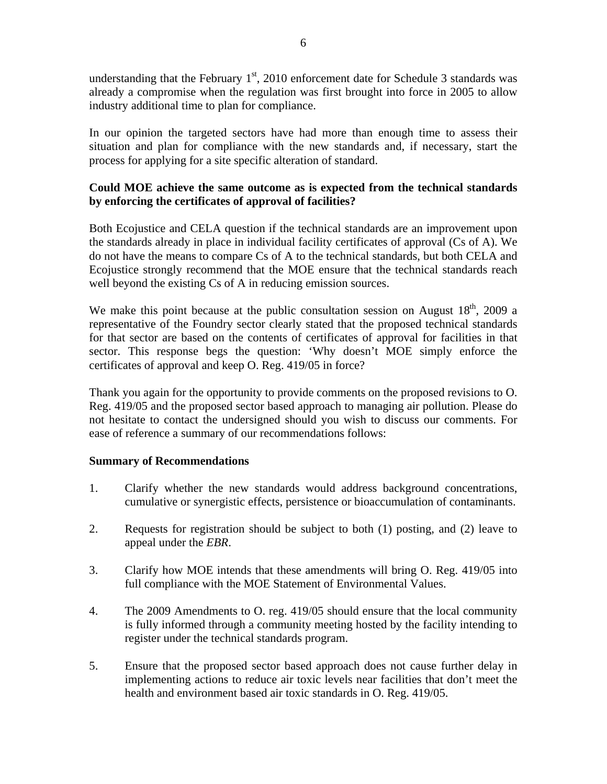understanding that the February  $1<sup>st</sup>$ , 2010 enforcement date for Schedule 3 standards was already a compromise when the regulation was first brought into force in 2005 to allow industry additional time to plan for compliance.

In our opinion the targeted sectors have had more than enough time to assess their situation and plan for compliance with the new standards and, if necessary, start the process for applying for a site specific alteration of standard.

## **Could MOE achieve the same outcome as is expected from the technical standards by enforcing the certificates of approval of facilities?**

Both Ecojustice and CELA question if the technical standards are an improvement upon the standards already in place in individual facility certificates of approval (Cs of A). We do not have the means to compare Cs of A to the technical standards, but both CELA and Ecojustice strongly recommend that the MOE ensure that the technical standards reach well beyond the existing Cs of A in reducing emission sources.

We make this point because at the public consultation session on August  $18<sup>th</sup>$ , 2009 a representative of the Foundry sector clearly stated that the proposed technical standards for that sector are based on the contents of certificates of approval for facilities in that sector. This response begs the question: 'Why doesn't MOE simply enforce the certificates of approval and keep O. Reg. 419/05 in force?

Thank you again for the opportunity to provide comments on the proposed revisions to O. Reg. 419/05 and the proposed sector based approach to managing air pollution. Please do not hesitate to contact the undersigned should you wish to discuss our comments. For ease of reference a summary of our recommendations follows:

#### **Summary of Recommendations**

- 1. Clarify whether the new standards would address background concentrations, cumulative or synergistic effects, persistence or bioaccumulation of contaminants.
- 2. Requests for registration should be subject to both (1) posting, and (2) leave to appeal under the *EBR*.
- 3. Clarify how MOE intends that these amendments will bring O. Reg. 419/05 into full compliance with the MOE Statement of Environmental Values.
- 4. The 2009 Amendments to O. reg. 419/05 should ensure that the local community is fully informed through a community meeting hosted by the facility intending to register under the technical standards program.
- 5. Ensure that the proposed sector based approach does not cause further delay in implementing actions to reduce air toxic levels near facilities that don't meet the health and environment based air toxic standards in O. Reg. 419/05.